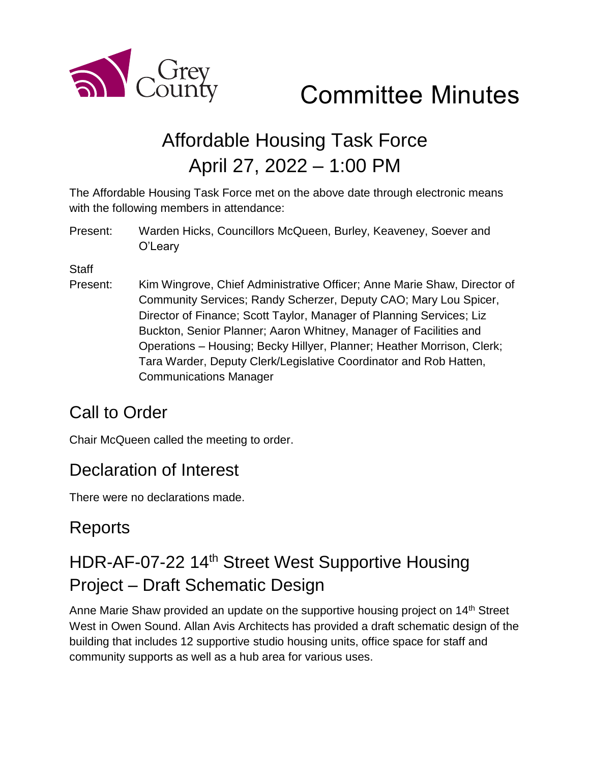

Committee Minutes

# Affordable Housing Task Force April 27, 2022 – 1:00 PM

The Affordable Housing Task Force met on the above date through electronic means with the following members in attendance:

Present: Warden Hicks, Councillors McQueen, Burley, Keaveney, Soever and O'Leary

**Staff** 

Present: Kim Wingrove, Chief Administrative Officer; Anne Marie Shaw, Director of Community Services; Randy Scherzer, Deputy CAO; Mary Lou Spicer, Director of Finance; Scott Taylor, Manager of Planning Services; Liz Buckton, Senior Planner; Aaron Whitney, Manager of Facilities and Operations – Housing; Becky Hillyer, Planner; Heather Morrison, Clerk; Tara Warder, Deputy Clerk/Legislative Coordinator and Rob Hatten, Communications Manager

### Call to Order

Chair McQueen called the meeting to order.

### Declaration of Interest

There were no declarations made.

### Reports

## HDR-AF-07-22 14<sup>th</sup> Street West Supportive Housing Project – Draft Schematic Design

Anne Marie Shaw provided an update on the supportive housing project on 14<sup>th</sup> Street West in Owen Sound. Allan Avis Architects has provided a draft schematic design of the building that includes 12 supportive studio housing units, office space for staff and community supports as well as a hub area for various uses.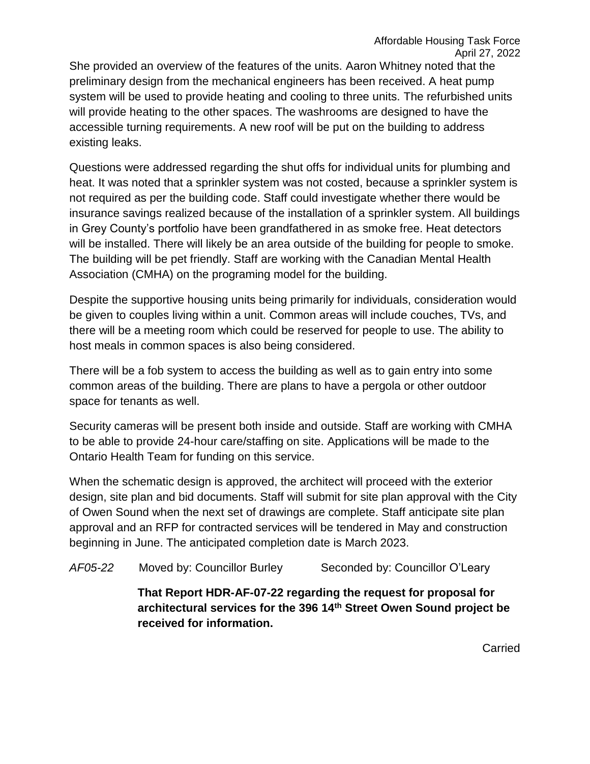She provided an overview of the features of the units. Aaron Whitney noted that the preliminary design from the mechanical engineers has been received. A heat pump system will be used to provide heating and cooling to three units. The refurbished units will provide heating to the other spaces. The washrooms are designed to have the accessible turning requirements. A new roof will be put on the building to address existing leaks.

Questions were addressed regarding the shut offs for individual units for plumbing and heat. It was noted that a sprinkler system was not costed, because a sprinkler system is not required as per the building code. Staff could investigate whether there would be insurance savings realized because of the installation of a sprinkler system. All buildings in Grey County's portfolio have been grandfathered in as smoke free. Heat detectors will be installed. There will likely be an area outside of the building for people to smoke. The building will be pet friendly. Staff are working with the Canadian Mental Health Association (CMHA) on the programing model for the building.

Despite the supportive housing units being primarily for individuals, consideration would be given to couples living within a unit. Common areas will include couches, TVs, and there will be a meeting room which could be reserved for people to use. The ability to host meals in common spaces is also being considered.

There will be a fob system to access the building as well as to gain entry into some common areas of the building. There are plans to have a pergola or other outdoor space for tenants as well.

Security cameras will be present both inside and outside. Staff are working with CMHA to be able to provide 24-hour care/staffing on site. Applications will be made to the Ontario Health Team for funding on this service.

When the schematic design is approved, the architect will proceed with the exterior design, site plan and bid documents. Staff will submit for site plan approval with the City of Owen Sound when the next set of drawings are complete. Staff anticipate site plan approval and an RFP for contracted services will be tendered in May and construction beginning in June. The anticipated completion date is March 2023.

*AF05-22* Moved by: Councillor Burley Seconded by: Councillor O'Leary

**That Report HDR-AF-07-22 regarding the request for proposal for architectural services for the 396 14th Street Owen Sound project be received for information.**

Carried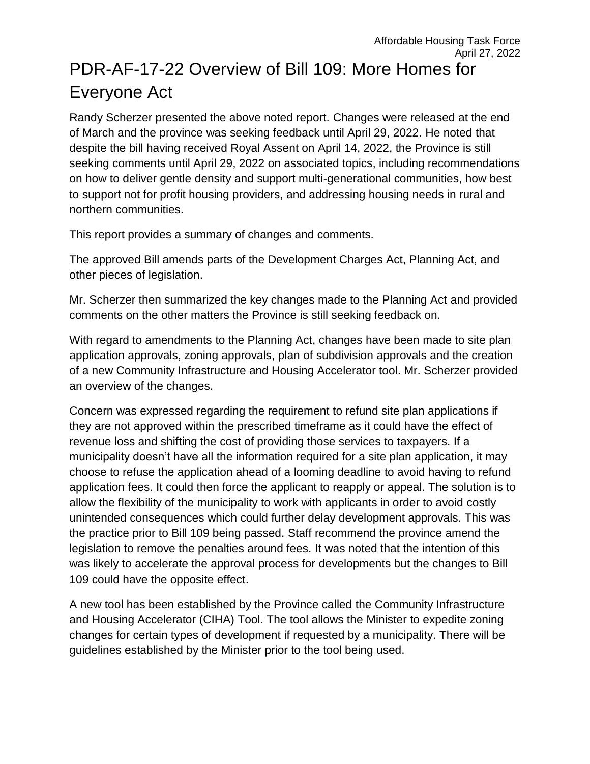# PDR-AF-17-22 Overview of Bill 109: More Homes for Everyone Act

Randy Scherzer presented the above noted report. Changes were released at the end of March and the province was seeking feedback until April 29, 2022. He noted that despite the bill having received Royal Assent on April 14, 2022, the Province is still seeking comments until April 29, 2022 on associated topics, including recommendations on how to deliver gentle density and support multi-generational communities, how best to support not for profit housing providers, and addressing housing needs in rural and northern communities.

This report provides a summary of changes and comments.

The approved Bill amends parts of the Development Charges Act, Planning Act, and other pieces of legislation.

Mr. Scherzer then summarized the key changes made to the Planning Act and provided comments on the other matters the Province is still seeking feedback on.

With regard to amendments to the Planning Act, changes have been made to site plan application approvals, zoning approvals, plan of subdivision approvals and the creation of a new Community Infrastructure and Housing Accelerator tool. Mr. Scherzer provided an overview of the changes.

Concern was expressed regarding the requirement to refund site plan applications if they are not approved within the prescribed timeframe as it could have the effect of revenue loss and shifting the cost of providing those services to taxpayers. If a municipality doesn't have all the information required for a site plan application, it may choose to refuse the application ahead of a looming deadline to avoid having to refund application fees. It could then force the applicant to reapply or appeal. The solution is to allow the flexibility of the municipality to work with applicants in order to avoid costly unintended consequences which could further delay development approvals. This was the practice prior to Bill 109 being passed. Staff recommend the province amend the legislation to remove the penalties around fees. It was noted that the intention of this was likely to accelerate the approval process for developments but the changes to Bill 109 could have the opposite effect.

A new tool has been established by the Province called the Community Infrastructure and Housing Accelerator (CIHA) Tool. The tool allows the Minister to expedite zoning changes for certain types of development if requested by a municipality. There will be guidelines established by the Minister prior to the tool being used.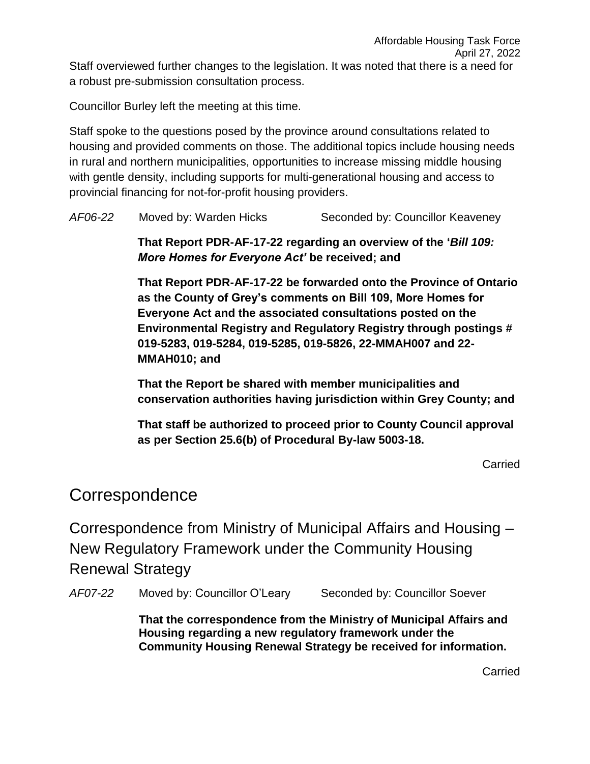Councillor Burley left the meeting at this time.

Staff spoke to the questions posed by the province around consultations related to housing and provided comments on those. The additional topics include housing needs in rural and northern municipalities, opportunities to increase missing middle housing with gentle density, including supports for multi-generational housing and access to provincial financing for not-for-profit housing providers.

| AF06-22 | Moved by: Warden Hicks | Seconded by: Councillor Keaveney |
|---------|------------------------|----------------------------------|
|---------|------------------------|----------------------------------|

**That Report PDR-AF-17-22 regarding an overview of the '***Bill 109: More Homes for Everyone Act'* **be received; and**

**That Report PDR-AF-17-22 be forwarded onto the Province of Ontario as the County of Grey's comments on Bill 109, More Homes for Everyone Act and the associated consultations posted on the Environmental Registry and Regulatory Registry through postings # 019-5283, 019-5284, 019-5285, 019-5826, 22-MMAH007 and 22- MMAH010; and**

**That the Report be shared with member municipalities and conservation authorities having jurisdiction within Grey County; and**

**That staff be authorized to proceed prior to County Council approval as per Section 25.6(b) of Procedural By-law 5003-18.**

Carried

#### **Correspondence**

Correspondence from Ministry of Municipal Affairs and Housing – New Regulatory Framework under the Community Housing Renewal Strategy

AF07-22 Moved by: Councillor O'Leary Seconded by: Councillor Soever

**That the correspondence from the Ministry of Municipal Affairs and Housing regarding a new regulatory framework under the Community Housing Renewal Strategy be received for information.** 

Carried